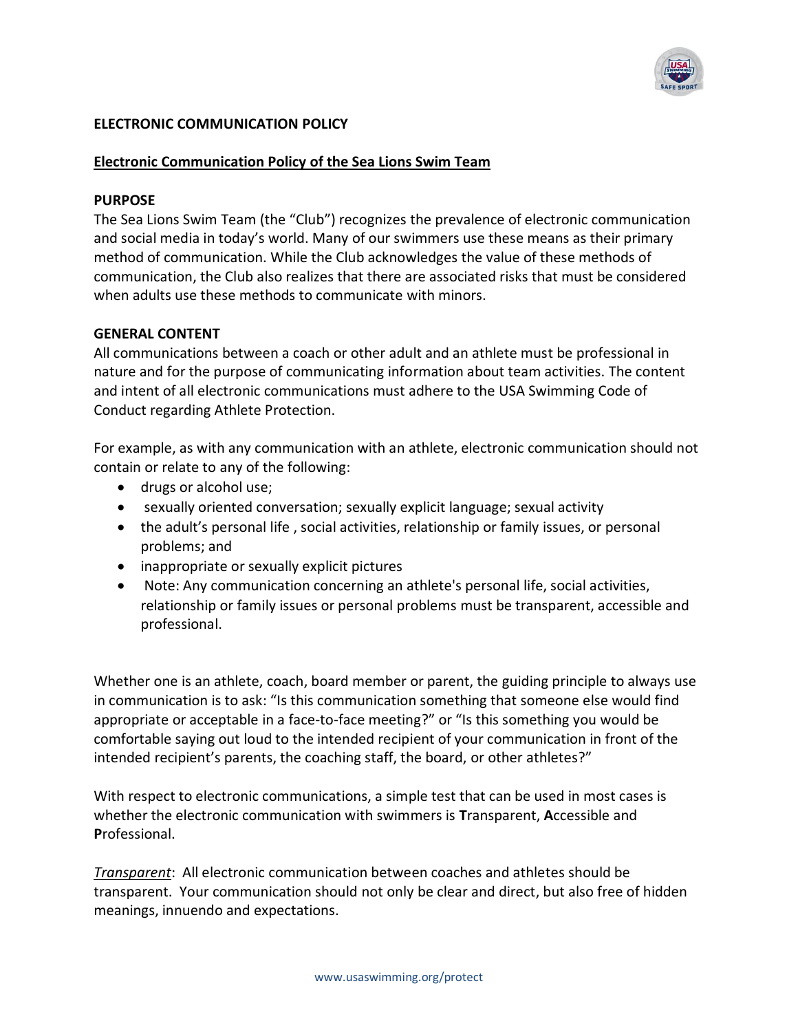

# **ELECTRONIC COMMUNICATION POLICY**

#### **Electronic Communication Policy of the Sea Lions Swim Team**

#### **PURPOSE**

The Sea Lions Swim Team (the "Club") recognizes the prevalence of electronic communication and social media in today's world. Many of our swimmers use these means as their primary method of communication. While the Club acknowledges the value of these methods of communication, the Club also realizes that there are associated risks that must be considered when adults use these methods to communicate with minors.

## **GENERAL CONTENT**

All communications between a coach or other adult and an athlete must be professional in nature and for the purpose of communicating information about team activities. The content and intent of all electronic communications must adhere to the USA Swimming Code of Conduct regarding Athlete Protection.

For example, as with any communication with an athlete, electronic communication should not contain or relate to any of the following:

- drugs or alcohol use;
- sexually oriented conversation; sexually explicit language; sexual activity
- the adult's personal life , social activities, relationship or family issues, or personal problems; and
- inappropriate or sexually explicit pictures
- Note: Any communication concerning an athlete's personal life, social activities, relationship or family issues or personal problems must be transparent, accessible and professional.

Whether one is an athlete, coach, board member or parent, the guiding principle to always use in communication is to ask: "Is this communication something that someone else would find appropriate or acceptable in a face-to-face meeting?" or "Is this something you would be comfortable saying out loud to the intended recipient of your communication in front of the intended recipient's parents, the coaching staff, the board, or other athletes?"

With respect to electronic communications, a simple test that can be used in most cases is whether the electronic communication with swimmers is **T**ransparent, **A**ccessible and **P**rofessional.

*Transparent*: All electronic communication between coaches and athletes should be transparent. Your communication should not only be clear and direct, but also free of hidden meanings, innuendo and expectations.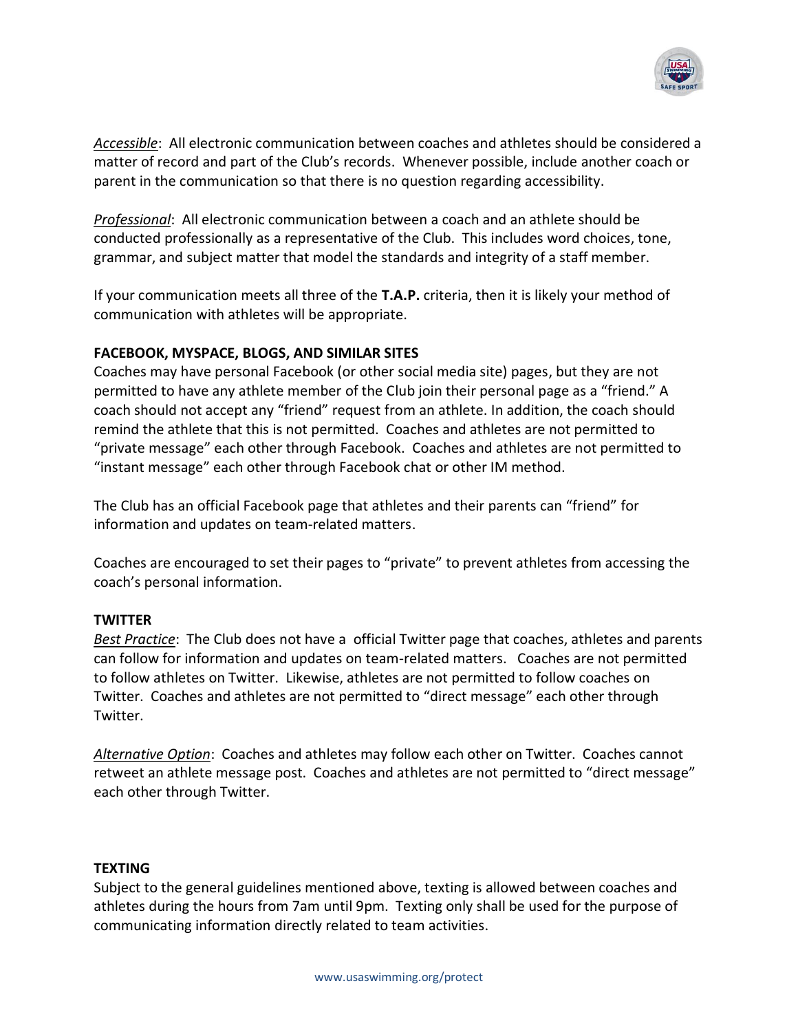

*Accessible*: All electronic communication between coaches and athletes should be considered a matter of record and part of the Club's records. Whenever possible, include another coach or parent in the communication so that there is no question regarding accessibility.

*Professional*: All electronic communication between a coach and an athlete should be conducted professionally as a representative of the Club. This includes word choices, tone, grammar, and subject matter that model the standards and integrity of a staff member.

If your communication meets all three of the **T.A.P.** criteria, then it is likely your method of communication with athletes will be appropriate.

## **FACEBOOK, MYSPACE, BLOGS, AND SIMILAR SITES**

Coaches may have personal Facebook (or other social media site) pages, but they are not permitted to have any athlete member of the Club join their personal page as a "friend." A coach should not accept any "friend" request from an athlete. In addition, the coach should remind the athlete that this is not permitted. Coaches and athletes are not permitted to "private message" each other through Facebook. Coaches and athletes are not permitted to "instant message" each other through Facebook chat or other IM method.

The Club has an official Facebook page that athletes and their parents can "friend" for information and updates on team-related matters.

Coaches are encouraged to set their pages to "private" to prevent athletes from accessing the coach's personal information.

## **TWITTER**

*Best Practice*: The Club does not have a official Twitter page that coaches, athletes and parents can follow for information and updates on team-related matters. Coaches are not permitted to follow athletes on Twitter. Likewise, athletes are not permitted to follow coaches on Twitter. Coaches and athletes are not permitted to "direct message" each other through Twitter.

*Alternative Option*: Coaches and athletes may follow each other on Twitter. Coaches cannot retweet an athlete message post. Coaches and athletes are not permitted to "direct message" each other through Twitter.

#### **TEXTING**

Subject to the general guidelines mentioned above, texting is allowed between coaches and athletes during the hours from 7am until 9pm. Texting only shall be used for the purpose of communicating information directly related to team activities.